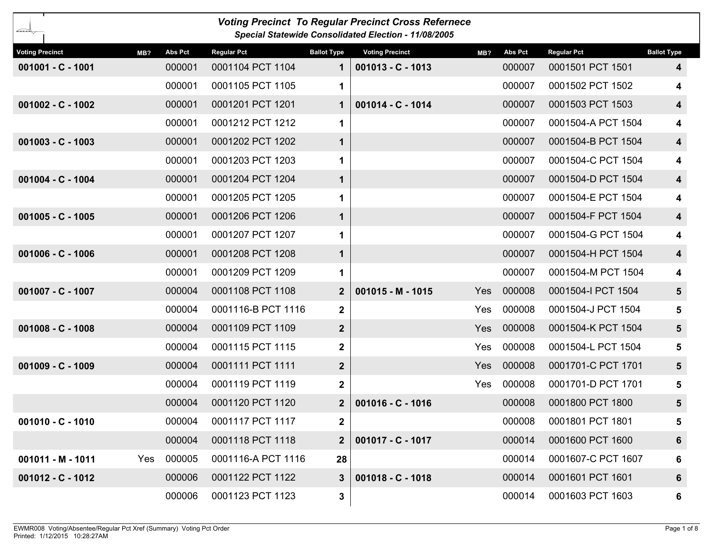| <b>Voting Precinct To Regular Precinct Cross Refernece</b><br>Special Statewide Consolidated Election - 11/08/2005 |     |         |                    |                    |                        |            |                |                    |                         |  |
|--------------------------------------------------------------------------------------------------------------------|-----|---------|--------------------|--------------------|------------------------|------------|----------------|--------------------|-------------------------|--|
| <b>Voting Precinct</b>                                                                                             | MB? | Abs Pct | <b>Regular Pct</b> | <b>Ballot Type</b> | <b>Voting Precinct</b> | MB?        | <b>Abs Pct</b> | <b>Regular Pct</b> | <b>Ballot Type</b>      |  |
| 001001 - C - 1001                                                                                                  |     | 000001  | 0001104 PCT 1104   | 1                  | $001013 - C - 1013$    |            | 000007         | 0001501 PCT 1501   | 4                       |  |
|                                                                                                                    |     | 000001  | 0001105 PCT 1105   | 1                  |                        |            | 000007         | 0001502 PCT 1502   | 4                       |  |
| $001002 - C - 1002$                                                                                                |     | 000001  | 0001201 PCT 1201   | 1                  | 001014 - C - 1014      |            | 000007         | 0001503 PCT 1503   | $\overline{\mathbf{4}}$ |  |
|                                                                                                                    |     | 000001  | 0001212 PCT 1212   | 1                  |                        |            | 000007         | 0001504-A PCT 1504 | 4                       |  |
| $001003 - C - 1003$                                                                                                |     | 000001  | 0001202 PCT 1202   | 1                  |                        |            | 000007         | 0001504-B PCT 1504 | $\overline{\mathbf{4}}$ |  |
|                                                                                                                    |     | 000001  | 0001203 PCT 1203   | 1                  |                        |            | 000007         | 0001504-C PCT 1504 | 4                       |  |
| 001004 - C - 1004                                                                                                  |     | 000001  | 0001204 PCT 1204   | 1                  |                        |            | 000007         | 0001504-D PCT 1504 | $\overline{\mathbf{4}}$ |  |
|                                                                                                                    |     | 000001  | 0001205 PCT 1205   | 1                  |                        |            | 000007         | 0001504-E PCT 1504 | 4                       |  |
| $001005 - C - 1005$                                                                                                |     | 000001  | 0001206 PCT 1206   | 1                  |                        |            | 000007         | 0001504-F PCT 1504 | $\overline{\mathbf{4}}$ |  |
|                                                                                                                    |     | 000001  | 0001207 PCT 1207   | 1                  |                        |            | 000007         | 0001504-G PCT 1504 | 4                       |  |
| $001006 - C - 1006$                                                                                                |     | 000001  | 0001208 PCT 1208   | 1                  |                        |            | 000007         | 0001504-H PCT 1504 | $\overline{\mathbf{4}}$ |  |
|                                                                                                                    |     | 000001  | 0001209 PCT 1209   | 1                  |                        |            | 000007         | 0001504-M PCT 1504 | 4                       |  |
| 001007 - C - 1007                                                                                                  |     | 000004  | 0001108 PCT 1108   | $\mathbf{2}$       | $001015 - M - 1015$    | Yes        | 000008         | 0001504-I PCT 1504 | $5\phantom{.0}$         |  |
|                                                                                                                    |     | 000004  | 0001116-B PCT 1116 | $\mathbf 2$        |                        | Yes        | 000008         | 0001504-J PCT 1504 | 5                       |  |
| 001008 - C - 1008                                                                                                  |     | 000004  | 0001109 PCT 1109   | $\boldsymbol{2}$   |                        | <b>Yes</b> | 000008         | 0001504-K PCT 1504 | 5                       |  |
|                                                                                                                    |     | 000004  | 0001115 PCT 1115   | $\mathbf 2$        |                        | Yes        | 000008         | 0001504-L PCT 1504 | 5                       |  |
| 001009 - C - 1009                                                                                                  |     | 000004  | 0001111 PCT 1111   | $\boldsymbol{2}$   |                        | Yes        | 000008         | 0001701-C PCT 1701 | 5                       |  |
|                                                                                                                    |     | 000004  | 0001119 PCT 1119   | $\mathbf 2$        |                        | Yes        | 000008         | 0001701-D PCT 1701 | 5                       |  |
|                                                                                                                    |     | 000004  | 0001120 PCT 1120   | $\mathbf{2}$       | 001016 - C - 1016      |            | 000008         | 0001800 PCT 1800   | 5                       |  |
| 001010 - C - 1010                                                                                                  |     | 000004  | 0001117 PCT 1117   | $\mathbf{2}$       |                        |            | 000008         | 0001801 PCT 1801   | 5                       |  |
|                                                                                                                    |     | 000004  | 0001118 PCT 1118   | $\mathbf{2}$       | 001017 - C - 1017      |            | 000014         | 0001600 PCT 1600   | $6\phantom{1}$          |  |
| 001011 - M - 1011                                                                                                  | Yes | 000005  | 0001116-A PCT 1116 | 28                 |                        |            | 000014         | 0001607-C PCT 1607 | 6                       |  |
| 001012 - C - 1012                                                                                                  |     | 000006  | 0001122 PCT 1122   | $\mathbf{3}$       | $001018 - C - 1018$    |            | 000014         | 0001601 PCT 1601   | $6\phantom{1}$          |  |
|                                                                                                                    |     | 000006  | 0001123 PCT 1123   | $\mathbf{3}$       |                        |            | 000014         | 0001603 PCT 1603   | 6                       |  |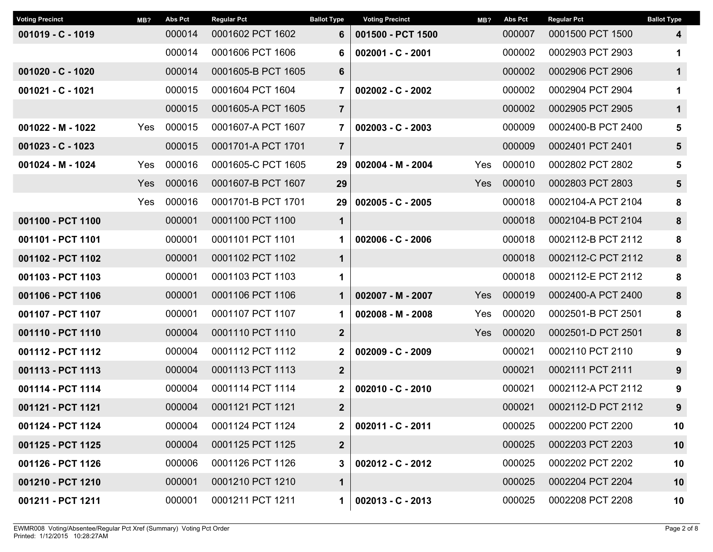| <b>Voting Precinct</b> | MB? | <b>Abs Pct</b> | <b>Regular Pct</b> | <b>Ballot Type</b>       | <b>Voting Precinct</b> | MB?        | <b>Abs Pct</b> | <b>Regular Pct</b> | <b>Ballot Type</b> |
|------------------------|-----|----------------|--------------------|--------------------------|------------------------|------------|----------------|--------------------|--------------------|
| $001019 - C - 1019$    |     | 000014         | 0001602 PCT 1602   | 6                        | 001500 - PCT 1500      |            | 000007         | 0001500 PCT 1500   | 4                  |
|                        |     | 000014         | 0001606 PCT 1606   | 6                        | $002001 - C - 2001$    |            | 000002         | 0002903 PCT 2903   | 1                  |
| $001020 - C - 1020$    |     | 000014         | 0001605-B PCT 1605 | 6                        |                        |            | 000002         | 0002906 PCT 2906   | $\mathbf 1$        |
| 001021 - C - 1021      |     | 000015         | 0001604 PCT 1604   | $002002 - C - 2002$<br>7 |                        |            | 000002         | 0002904 PCT 2904   | 1                  |
|                        |     | 000015         | 0001605-A PCT 1605 | $\overline{7}$           |                        |            | 000002         | 0002905 PCT 2905   | $\mathbf 1$        |
| 001022 - M - 1022      | Yes | 000015         | 0001607-A PCT 1607 | $\overline{7}$           | $002003 - C - 2003$    |            | 000009         | 0002400-B PCT 2400 | 5                  |
| $001023 - C - 1023$    |     | 000015         | 0001701-A PCT 1701 | $\overline{7}$           |                        |            | 000009         | 0002401 PCT 2401   | $5\phantom{.0}$    |
| 001024 - M - 1024      | Yes | 000016         | 0001605-C PCT 1605 | 29                       | 002004 - M - 2004      | <b>Yes</b> | 000010         | 0002802 PCT 2802   | 5                  |
|                        | Yes | 000016         | 0001607-B PCT 1607 | 29                       |                        | Yes        | 000010         | 0002803 PCT 2803   | $5\phantom{.0}$    |
|                        | Yes | 000016         | 0001701-B PCT 1701 | 29                       | $002005 - C - 2005$    |            | 000018         | 0002104-A PCT 2104 | 8                  |
| 001100 - PCT 1100      |     | 000001         | 0001100 PCT 1100   | $\mathbf 1$              |                        |            | 000018         | 0002104-B PCT 2104 | 8                  |
| 001101 - PCT 1101      |     | 000001         | 0001101 PCT 1101   | 1                        | 002006 - C - 2006      |            | 000018         | 0002112-B PCT 2112 | 8                  |
| 001102 - PCT 1102      |     | 000001         | 0001102 PCT 1102   | $\mathbf 1$              |                        |            | 000018         | 0002112-C PCT 2112 | 8                  |
| 001103 - PCT 1103      |     | 000001         | 0001103 PCT 1103   | 1                        |                        |            | 000018         | 0002112-E PCT 2112 | 8                  |
| 001106 - PCT 1106      |     | 000001         | 0001106 PCT 1106   | $\mathbf 1$              | 002007 - M - 2007      | <b>Yes</b> | 000019         | 0002400-A PCT 2400 | 8                  |
| 001107 - PCT 1107      |     | 000001         | 0001107 PCT 1107   | 1                        | $002008 - M - 2008$    | Yes        | 000020         | 0002501-B PCT 2501 | 8                  |
| 001110 - PCT 1110      |     | 000004         | 0001110 PCT 1110   | $\mathbf{2}$             |                        | Yes        | 000020         | 0002501-D PCT 2501 | 8                  |
| 001112 - PCT 1112      |     | 000004         | 0001112 PCT 1112   | $\mathbf{2}$             | 002009 - C - 2009      |            | 000021         | 0002110 PCT 2110   | 9                  |
| 001113 - PCT 1113      |     | 000004         | 0001113 PCT 1113   | $\mathbf{2}$             |                        |            | 000021         | 0002111 PCT 2111   | 9                  |
| 001114 - PCT 1114      |     | 000004         | 0001114 PCT 1114   | $\mathbf{2}$             | $002010 - C - 2010$    |            | 000021         | 0002112-A PCT 2112 | 9                  |
| 001121 - PCT 1121      |     | 000004         | 0001121 PCT 1121   | $\overline{2}$           |                        |            | 000021         | 0002112-D PCT 2112 | 9                  |
| 001124 - PCT 1124      |     | 000004         | 0001124 PCT 1124   | 2                        | 002011 - C - 2011      |            | 000025         | 0002200 PCT 2200   | 10                 |
| 001125 - PCT 1125      |     | 000004         | 0001125 PCT 1125   | $\mathbf{2}$             |                        |            | 000025         | 0002203 PCT 2203   | 10                 |
| 001126 - PCT 1126      |     | 000006         | 0001126 PCT 1126   | 3                        | $002012 - C - 2012$    |            | 000025         | 0002202 PCT 2202   | 10                 |
| 001210 - PCT 1210      |     | 000001         | 0001210 PCT 1210   | $\mathbf 1$              |                        |            | 000025         | 0002204 PCT 2204   | 10                 |
| 001211 - PCT 1211      |     | 000001         | 0001211 PCT 1211   | 1 <sup>1</sup>           | $002013 - C - 2013$    |            | 000025         | 0002208 PCT 2208   | 10                 |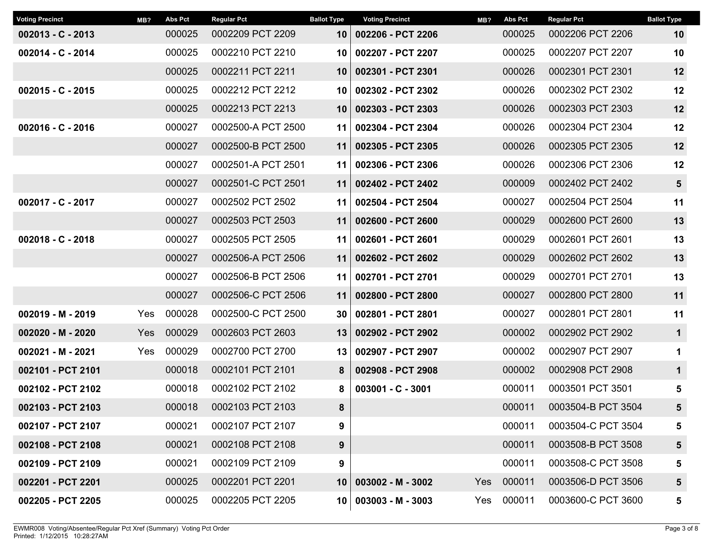| <b>Voting Precinct</b> | MB? | <b>Abs Pct</b> | <b>Regular Pct</b> | <b>Ballot Type</b><br><b>Voting Precinct</b> |                        | MB?    | Abs Pct    | <b>Regular Pct</b> | <b>Ballot Type</b> |
|------------------------|-----|----------------|--------------------|----------------------------------------------|------------------------|--------|------------|--------------------|--------------------|
| $002013 - C - 2013$    |     | 000025         | 0002209 PCT 2209   | 10                                           | 002206 - PCT 2206      |        | 000025     | 0002206 PCT 2206   | 10                 |
| 002014 - C - 2014      |     | 000025         | 0002210 PCT 2210   | 10                                           | 002207 - PCT 2207      |        | 000025     | 0002207 PCT 2207   | 10                 |
|                        |     | 000025         | 0002211 PCT 2211   | 10                                           | 002301 - PCT 2301      |        | 000026     | 0002301 PCT 2301   | 12                 |
| $002015 - C - 2015$    |     | 000025         | 0002212 PCT 2212   | 10                                           | 002302 - PCT 2302      |        | 000026     | 0002302 PCT 2302   | 12                 |
|                        |     | 000025         | 0002213 PCT 2213   | 10                                           | 002303 - PCT 2303      |        | 000026     | 0002303 PCT 2303   | 12                 |
| $002016 - C - 2016$    |     | 000027         | 0002500-A PCT 2500 | 11                                           | 002304 - PCT 2304      |        | 000026     | 0002304 PCT 2304   | 12                 |
|                        |     | 000027         | 0002500-B PCT 2500 | 11                                           | 002305 - PCT 2305      | 000026 |            | 0002305 PCT 2305   | 12                 |
|                        |     | 000027         | 0002501-A PCT 2501 | 11 <sup>1</sup>                              | 002306 - PCT 2306      | 000026 |            | 0002306 PCT 2306   | 12                 |
|                        |     | 000027         | 0002501-C PCT 2501 | 11                                           | 002402 - PCT 2402      |        | 000009     | 0002402 PCT 2402   | $5\phantom{.0}$    |
| 002017 - C - 2017      |     | 000027         | 0002502 PCT 2502   | 11                                           | 002504 - PCT 2504      |        | 000027     | 0002504 PCT 2504   | 11                 |
|                        |     | 000027         | 0002503 PCT 2503   | 11                                           | 002600 - PCT 2600      | 000029 |            | 0002600 PCT 2600   | 13                 |
| $002018 - C - 2018$    |     | 000027         | 0002505 PCT 2505   | 11                                           | 002601 - PCT 2601      |        | 000029     | 0002601 PCT 2601   | 13                 |
|                        |     | 000027         | 0002506-A PCT 2506 | 11                                           | 002602 - PCT 2602      | 000029 |            | 0002602 PCT 2602   | 13                 |
|                        |     | 000027         | 0002506-B PCT 2506 | 11                                           | 002701 - PCT 2701      |        | 000029     | 0002701 PCT 2701   | 13                 |
|                        |     | 000027         | 0002506-C PCT 2506 | 11                                           | 002800 - PCT 2800      |        | 000027     | 0002800 PCT 2800   | 11                 |
| 002019 - M - 2019      | Yes | 000028         | 0002500-C PCT 2500 | 30                                           | 002801 - PCT 2801      |        | 000027     | 0002801 PCT 2801   | 11                 |
| 002020 - M - 2020      | Yes | 000029         | 0002603 PCT 2603   | 13                                           | 002902 - PCT 2902      |        | 000002     | 0002902 PCT 2902   | $\mathbf 1$        |
| 002021 - M - 2021      | Yes | 000029         | 0002700 PCT 2700   | 13                                           | 002907 - PCT 2907      |        | 000002     | 0002907 PCT 2907   | 1                  |
| 002101 - PCT 2101      |     | 000018         | 0002101 PCT 2101   | 8                                            | 002908 - PCT 2908      |        | 000002     | 0002908 PCT 2908   | $\mathbf 1$        |
| 002102 - PCT 2102      |     | 000018         | 0002102 PCT 2102   | 8                                            | 003001 - C - 3001      |        | 000011     | 0003501 PCT 3501   | 5                  |
| 002103 - PCT 2103      |     | 000018         | 0002103 PCT 2103   | 8                                            |                        |        | 000011     | 0003504-B PCT 3504 | $5\phantom{1}$     |
| 002107 - PCT 2107      |     | 000021         | 0002107 PCT 2107   | 9                                            |                        |        | 000011     | 0003504-C PCT 3504 | 5                  |
| 002108 - PCT 2108      |     | 000021         | 0002108 PCT 2108   | 9                                            |                        |        | 000011     | 0003508-B PCT 3508 | 5                  |
| 002109 - PCT 2109      |     | 000021         | 0002109 PCT 2109   | 9                                            |                        |        | 000011     | 0003508-C PCT 3508 | 5                  |
| 002201 - PCT 2201      |     | 000025         | 0002201 PCT 2201   | 10                                           | $003002 - M - 3002$    |        | Yes 000011 | 0003506-D PCT 3506 | 5                  |
| 002205 - PCT 2205      |     | 000025         | 0002205 PCT 2205   |                                              | $10 003003 - M - 3003$ | Yes    | 000011     | 0003600-C PCT 3600 | 5                  |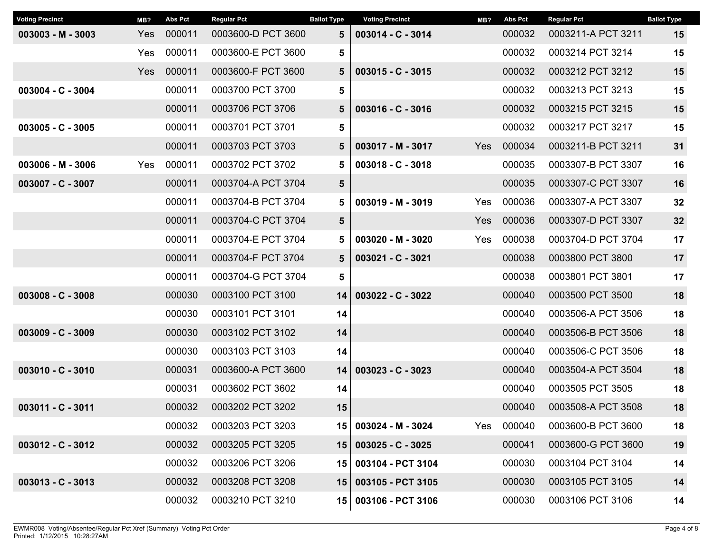| <b>Voting Precinct</b> | MB? | <b>Abs Pct</b> | <b>Regular Pct</b> | <b>Ballot Type</b> | <b>Voting Precinct</b>   | MB?        | <b>Abs Pct</b>             | <b>Regular Pct</b> | <b>Ballot Type</b> |
|------------------------|-----|----------------|--------------------|--------------------|--------------------------|------------|----------------------------|--------------------|--------------------|
| $003003 - M - 3003$    | Yes | 000011         | 0003600-D PCT 3600 | 5                  | $003014 - C - 3014$      |            | 000032                     | 0003211-A PCT 3211 | 15                 |
|                        | Yes | 000011         | 0003600-E PCT 3600 | 5                  |                          |            | 000032                     | 0003214 PCT 3214   | 15                 |
|                        | Yes | 000011         | 0003600-F PCT 3600 | 5                  | $003015 - C - 3015$      |            | 000032                     | 0003212 PCT 3212   | 15                 |
| 003004 - C - 3004      |     | 000011         | 0003700 PCT 3700   | 5                  |                          |            | 000032                     | 0003213 PCT 3213   | 15                 |
|                        |     | 000011         | 0003706 PCT 3706   | 5                  | 003016 - C - 3016        |            | 000032<br>0003215 PCT 3215 |                    | 15                 |
| $003005 - C - 3005$    |     | 000011         | 0003701 PCT 3701   | 5                  |                          |            | 000032                     | 0003217 PCT 3217   | 15                 |
|                        |     | 000011         | 0003703 PCT 3703   | 5                  | 003017 - M - 3017<br>Yes |            | 000034                     | 0003211-B PCT 3211 | 31                 |
| 003006 - M - 3006      | Yes | 000011         | 0003702 PCT 3702   | 5                  | $003018 - C - 3018$      |            | 000035                     | 0003307-B PCT 3307 | 16                 |
| 003007 - C - 3007      |     | 000011         | 0003704-A PCT 3704 | 5                  |                          |            | 000035                     | 0003307-C PCT 3307 | 16                 |
|                        |     | 000011         | 0003704-B PCT 3704 | 5                  | 003019 - M - 3019        | Yes        | 000036                     | 0003307-A PCT 3307 | 32                 |
|                        |     | 000011         | 0003704-C PCT 3704 | $5\phantom{1}$     |                          | <b>Yes</b> | 000036                     | 0003307-D PCT 3307 | 32                 |
|                        |     | 000011         | 0003704-E PCT 3704 | 5                  | 003020 - M - 3020        | Yes        | 000038                     | 0003704-D PCT 3704 | 17                 |
|                        |     | 000011         | 0003704-F PCT 3704 | 5                  | 003021 - C - 3021        |            | 000038                     | 0003800 PCT 3800   | 17                 |
|                        |     | 000011         | 0003704-G PCT 3704 | 5                  |                          |            | 000038                     | 0003801 PCT 3801   | 17                 |
| $003008 - C - 3008$    |     | 000030         | 0003100 PCT 3100   | 14                 | 003022 - C - 3022        |            | 000040                     | 0003500 PCT 3500   | 18                 |
|                        |     | 000030         | 0003101 PCT 3101   | 14                 |                          |            | 000040                     | 0003506-A PCT 3506 | 18                 |
| $003009 - C - 3009$    |     | 000030         | 0003102 PCT 3102   | 14                 |                          |            | 000040                     | 0003506-B PCT 3506 | 18                 |
|                        |     | 000030         | 0003103 PCT 3103   | 14                 |                          |            | 000040                     | 0003506-C PCT 3506 | 18                 |
| $003010 - C - 3010$    |     | 000031         | 0003600-A PCT 3600 | 14                 | 003023 - C - 3023        |            | 000040                     | 0003504-A PCT 3504 | 18                 |
|                        |     | 000031         | 0003602 PCT 3602   | 14                 |                          |            | 000040                     | 0003505 PCT 3505   | 18                 |
| 003011 - C - 3011      |     | 000032         | 0003202 PCT 3202   | 15                 |                          |            | 000040                     | 0003508-A PCT 3508 | 18                 |
|                        |     | 000032         | 0003203 PCT 3203   | 15                 | 003024 - M - 3024        | Yes        | 000040                     | 0003600-B PCT 3600 | 18                 |
| $003012 - C - 3012$    |     | 000032         | 0003205 PCT 3205   | 15                 | 003025 - C - 3025        |            | 000041                     | 0003600-G PCT 3600 | 19                 |
|                        |     | 000032         | 0003206 PCT 3206   | 15 <sub>1</sub>    | 003104 - PCT 3104        |            | 000030                     | 0003104 PCT 3104   | 14                 |
| $003013 - C - 3013$    |     | 000032         | 0003208 PCT 3208   | 15                 | 003105 - PCT 3105        |            | 000030                     | 0003105 PCT 3105   | 14                 |
|                        |     | 000032         | 0003210 PCT 3210   |                    | 15 003106 - PCT 3106     |            | 000030                     | 0003106 PCT 3106   | 14                 |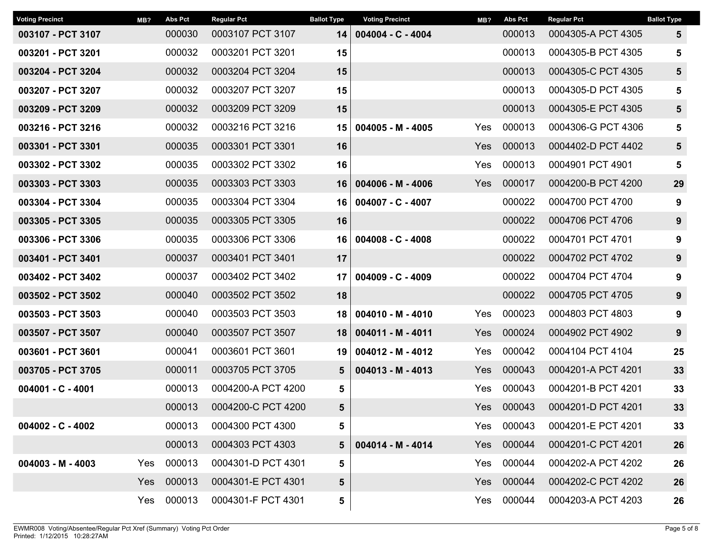| <b>Voting Precinct</b> | MB? | <b>Abs Pct</b> | <b>Regular Pct</b> | <b>Ballot Type</b> | <b>Voting Precinct</b> | MB?        | <b>Abs Pct</b> | <b>Regular Pct</b> | <b>Ballot Type</b> |
|------------------------|-----|----------------|--------------------|--------------------|------------------------|------------|----------------|--------------------|--------------------|
| 003107 - PCT 3107      |     | 000030         | 0003107 PCT 3107   | 14                 | $004004 - C - 4004$    |            | 000013         | 0004305-A PCT 4305 | 5                  |
| 003201 - PCT 3201      |     | 000032         | 0003201 PCT 3201   | 15                 |                        |            | 000013         | 0004305-B PCT 4305 | 5                  |
| 003204 - PCT 3204      |     | 000032         | 0003204 PCT 3204   | 15                 |                        |            | 000013         | 0004305-C PCT 4305 | 5                  |
| 003207 - PCT 3207      |     | 000032         | 0003207 PCT 3207   | 15                 |                        |            | 000013         | 0004305-D PCT 4305 | 5                  |
| 003209 - PCT 3209      |     | 000032         | 0003209 PCT 3209   | 15                 |                        |            | 000013         | 0004305-E PCT 4305 | 5                  |
| 003216 - PCT 3216      |     | 000032         | 0003216 PCT 3216   | 15                 | $004005 - M - 4005$    | Yes        | 000013         | 0004306-G PCT 4306 | 5                  |
| 003301 - PCT 3301      |     | 000035         | 0003301 PCT 3301   | 16                 |                        | Yes        | 000013         | 0004402-D PCT 4402 | 5                  |
| 003302 - PCT 3302      |     | 000035         | 0003302 PCT 3302   | 16                 |                        | Yes        | 000013         | 0004901 PCT 4901   | 5                  |
| 003303 - PCT 3303      |     | 000035         | 0003303 PCT 3303   | 16                 | $004006 - M - 4006$    | Yes        | 000017         | 0004200-B PCT 4200 | 29                 |
| 003304 - PCT 3304      |     | 000035         | 0003304 PCT 3304   | 16                 | $004007 - C - 4007$    |            | 000022         | 0004700 PCT 4700   | 9                  |
| 003305 - PCT 3305      |     | 000035         | 0003305 PCT 3305   | 16                 |                        |            | 000022         | 0004706 PCT 4706   | 9                  |
| 003306 - PCT 3306      |     | 000035         | 0003306 PCT 3306   | 16 <sup>1</sup>    | 004008 - C - 4008      |            | 000022         | 0004701 PCT 4701   | 9                  |
| 003401 - PCT 3401      |     | 000037         | 0003401 PCT 3401   | 17                 |                        |            | 000022         | 0004702 PCT 4702   | 9                  |
| 003402 - PCT 3402      |     | 000037         | 0003402 PCT 3402   | 17                 | $004009 - C - 4009$    |            | 000022         | 0004704 PCT 4704   | 9                  |
| 003502 - PCT 3502      |     | 000040         | 0003502 PCT 3502   | 18                 |                        |            | 000022         | 0004705 PCT 4705   | 9                  |
| 003503 - PCT 3503      |     | 000040         | 0003503 PCT 3503   | 18                 | 004010 - M - 4010      | Yes        | 000023         | 0004803 PCT 4803   | 9                  |
| 003507 - PCT 3507      |     | 000040         | 0003507 PCT 3507   | 18                 | $004011 - M - 4011$    | Yes        | 000024         | 0004902 PCT 4902   | 9                  |
| 003601 - PCT 3601      |     | 000041         | 0003601 PCT 3601   | 19                 | 004012 - M - 4012      | Yes        | 000042         | 0004104 PCT 4104   | 25                 |
| 003705 - PCT 3705      |     | 000011         | 0003705 PCT 3705   | 5                  | $004013 - M - 4013$    | <b>Yes</b> | 000043         | 0004201-A PCT 4201 | 33                 |
| 004001 - C - 4001      |     | 000013         | 0004200-A PCT 4200 | 5                  |                        | Yes        | 000043         | 0004201-B PCT 4201 | 33                 |
|                        |     | 000013         | 0004200-C PCT 4200 | 5                  |                        | <b>Yes</b> | 000043         | 0004201-D PCT 4201 | 33                 |
| 004002 - C - 4002      |     | 000013         | 0004300 PCT 4300   | 5                  |                        |            | Yes 000043     | 0004201-E PCT 4201 | 33                 |
|                        |     | 000013         | 0004303 PCT 4303   | 5                  | 004014 - M - 4014      | Yes        | 000044         | 0004201-C PCT 4201 | 26                 |
| $004003 - M - 4003$    | Yes | 000013         | 0004301-D PCT 4301 | 5                  |                        | Yes        | 000044         | 0004202-A PCT 4202 | 26                 |
|                        | Yes | 000013         | 0004301-E PCT 4301 | 5                  |                        | Yes        | 000044         | 0004202-C PCT 4202 | 26                 |
|                        | Yes | 000013         | 0004301-F PCT 4301 | 5                  |                        | Yes        | 000044         | 0004203-A PCT 4203 | 26                 |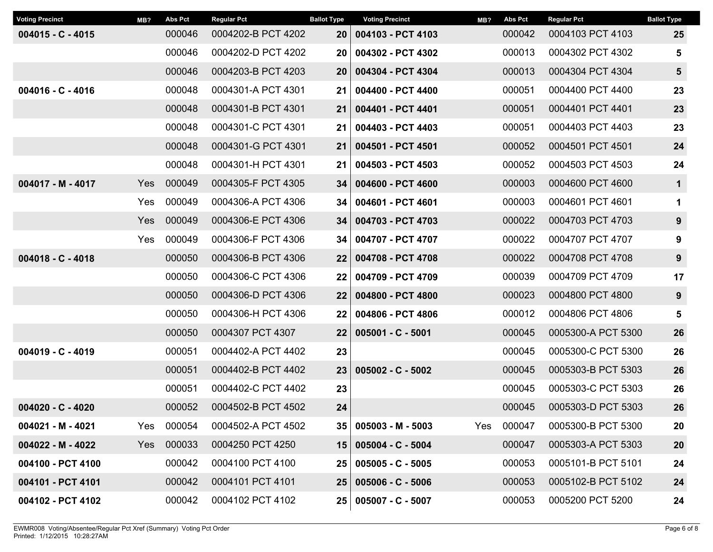| <b>Voting Precinct</b> | MB?        | <b>Abs Pct</b> | <b>Regular Pct</b> | <b>Ballot Type</b> | <b>Voting Precinct</b> | MB? | <b>Abs Pct</b> | <b>Regular Pct</b> | <b>Ballot Type</b> |
|------------------------|------------|----------------|--------------------|--------------------|------------------------|-----|----------------|--------------------|--------------------|
| $004015 - C - 4015$    |            | 000046         | 0004202-B PCT 4202 | <b>20</b>          | 004103 - PCT 4103      |     | 000042         | 0004103 PCT 4103   | 25                 |
|                        |            | 000046         | 0004202-D PCT 4202 | 20                 | 004302 - PCT 4302      |     | 000013         | 0004302 PCT 4302   | 5                  |
|                        |            | 000046         | 0004203-B PCT 4203 | 20                 | 004304 - PCT 4304      |     | 000013         | 0004304 PCT 4304   | $5\phantom{1}$     |
| $004016 - C - 4016$    |            | 000048         | 0004301-A PCT 4301 | 21                 | 004400 - PCT 4400      |     | 000051         | 0004400 PCT 4400   | 23                 |
|                        |            | 000048         | 0004301-B PCT 4301 | 21                 | 004401 - PCT 4401      |     | 000051         | 0004401 PCT 4401   | 23                 |
|                        |            | 000048         | 0004301-C PCT 4301 | 21                 | 004403 - PCT 4403      |     | 000051         | 0004403 PCT 4403   | 23                 |
|                        |            | 000048         | 0004301-G PCT 4301 | 21                 | 004501 - PCT 4501      |     | 000052         | 0004501 PCT 4501   | 24                 |
|                        |            | 000048         | 0004301-H PCT 4301 | 21                 | 004503 - PCT 4503      |     | 000052         | 0004503 PCT 4503   | 24                 |
| 004017 - M - 4017      | <b>Yes</b> | 000049         | 0004305-F PCT 4305 | 34                 | 004600 - PCT 4600      |     | 000003         | 0004600 PCT 4600   | $\mathbf 1$        |
|                        | Yes        | 000049         | 0004306-A PCT 4306 | 34                 | 004601 - PCT 4601      |     | 000003         | 0004601 PCT 4601   | 1                  |
|                        | Yes        | 000049         | 0004306-E PCT 4306 | 34                 | 004703 - PCT 4703      |     | 000022         | 0004703 PCT 4703   | 9                  |
|                        | Yes        | 000049         | 0004306-F PCT 4306 | 34                 | 004707 - PCT 4707      |     | 000022         | 0004707 PCT 4707   | $\boldsymbol{9}$   |
| $004018 - C - 4018$    |            | 000050         | 0004306-B PCT 4306 | 22                 | 004708 - PCT 4708      |     | 000022         | 0004708 PCT 4708   | $\boldsymbol{9}$   |
|                        |            | 000050         | 0004306-C PCT 4306 | 22                 | 004709 - PCT 4709      |     | 000039         | 0004709 PCT 4709   | 17                 |
|                        |            | 000050         | 0004306-D PCT 4306 | 22                 | 004800 - PCT 4800      |     | 000023         | 0004800 PCT 4800   | 9                  |
|                        |            | 000050         | 0004306-H PCT 4306 | 22                 | 004806 - PCT 4806      |     | 000012         | 0004806 PCT 4806   | 5                  |
|                        |            | 000050         | 0004307 PCT 4307   | 22                 | $005001 - C - 5001$    |     | 000045         | 0005300-A PCT 5300 | 26                 |
| 004019 - C - 4019      |            | 000051         | 0004402-A PCT 4402 | 23                 |                        |     | 000045         | 0005300-C PCT 5300 | 26                 |
|                        |            | 000051         | 0004402-B PCT 4402 | 23                 | $005002 - C - 5002$    |     | 000045         | 0005303-B PCT 5303 | 26                 |
|                        |            | 000051         | 0004402-C PCT 4402 | 23                 |                        |     | 000045         | 0005303-C PCT 5303 | 26                 |
| $004020 - C - 4020$    |            | 000052         | 0004502-B PCT 4502 | 24                 |                        |     | 000045         | 0005303-D PCT 5303 | 26                 |
| 004021 - M - 4021      | Yes        | 000054         | 0004502-A PCT 4502 | 35                 | $005003 - M - 5003$    | Yes | 000047         | 0005300-B PCT 5300 | 20                 |
| $004022 - M - 4022$    | Yes        | 000033         | 0004250 PCT 4250   | 15                 | 005004 - C - 5004      |     | 000047         | 0005303-A PCT 5303 | 20                 |
| 004100 - PCT 4100      |            | 000042         | 0004100 PCT 4100   | 25                 | $005005 - C - 5005$    |     | 000053         | 0005101-B PCT 5101 | 24                 |
| 004101 - PCT 4101      |            | 000042         | 0004101 PCT 4101   | 25                 | $005006 - C - 5006$    |     | 000053         | 0005102-B PCT 5102 | 24                 |
| 004102 - PCT 4102      |            | 000042         | 0004102 PCT 4102   |                    | 25 005007 - C - 5007   |     | 000053         | 0005200 PCT 5200   | 24                 |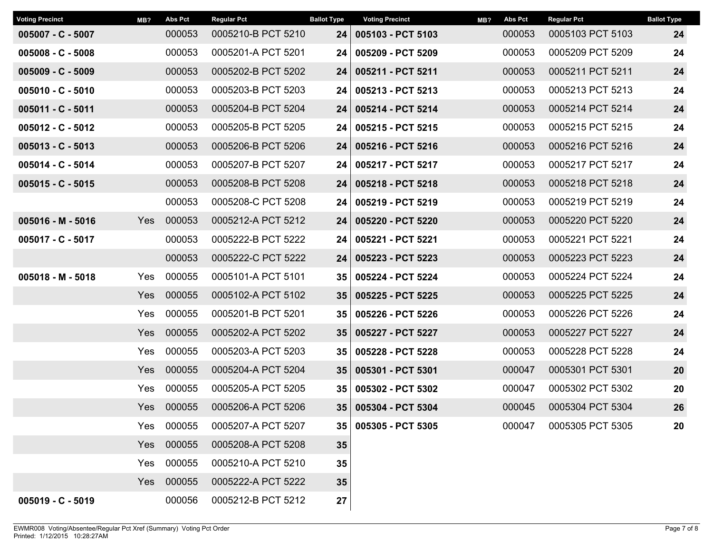| <b>Voting Precinct</b> | MB? | <b>Abs Pct</b> | <b>Regular Pct</b> | <b>Ballot Type</b> | <b>Voting Precinct</b> | MB? | <b>Abs Pct</b> | <b>Regular Pct</b> | <b>Ballot Type</b> |
|------------------------|-----|----------------|--------------------|--------------------|------------------------|-----|----------------|--------------------|--------------------|
| $005007 - C - 5007$    |     | 000053         | 0005210-B PCT 5210 | 24                 | 005103 - PCT 5103      |     | 000053         | 0005103 PCT 5103   | 24                 |
| $005008 - C - 5008$    |     | 000053         | 0005201-A PCT 5201 | 24                 | 005209 - PCT 5209      |     | 000053         | 0005209 PCT 5209   | 24                 |
| $005009 - C - 5009$    |     | 000053         | 0005202-B PCT 5202 | 24                 | 005211 - PCT 5211      |     | 000053         | 0005211 PCT 5211   | 24                 |
| $005010 - C - 5010$    |     | 000053         | 0005203-B PCT 5203 | 24                 | 005213 - PCT 5213      |     | 000053         | 0005213 PCT 5213   | 24                 |
| $005011 - C - 5011$    |     | 000053         | 0005204-B PCT 5204 | 24                 | 005214 - PCT 5214      |     | 000053         | 0005214 PCT 5214   | 24                 |
| $005012 - C - 5012$    |     | 000053         | 0005205-B PCT 5205 | 24                 | 005215 - PCT 5215      |     | 000053         | 0005215 PCT 5215   | 24                 |
| $005013 - C - 5013$    |     | 000053         | 0005206-B PCT 5206 | 24                 | 005216 - PCT 5216      |     | 000053         | 0005216 PCT 5216   | 24                 |
| $005014 - C - 5014$    |     | 000053         | 0005207-B PCT 5207 | 24                 | 005217 - PCT 5217      |     | 000053         | 0005217 PCT 5217   | 24                 |
| $005015 - C - 5015$    |     | 000053         | 0005208-B PCT 5208 | 24                 | 005218 - PCT 5218      |     | 000053         | 0005218 PCT 5218   | 24                 |
|                        |     | 000053         | 0005208-C PCT 5208 | 24 <sub>1</sub>    | 005219 - PCT 5219      |     | 000053         | 0005219 PCT 5219   | 24                 |
| 005016 - M - 5016      | Yes | 000053         | 0005212-A PCT 5212 | 24                 | 005220 - PCT 5220      |     | 000053         | 0005220 PCT 5220   | 24                 |
| $005017 - C - 5017$    |     | 000053         | 0005222-B PCT 5222 | 24                 | 005221 - PCT 5221      |     | 000053         | 0005221 PCT 5221   | 24                 |
|                        |     | 000053         | 0005222-C PCT 5222 | 24                 | 005223 - PCT 5223      |     | 000053         | 0005223 PCT 5223   | 24                 |
| $005018 - M - 5018$    | Yes | 000055         | 0005101-A PCT 5101 | 35                 | 005224 - PCT 5224      |     | 000053         | 0005224 PCT 5224   | 24                 |
|                        | Yes | 000055         | 0005102-A PCT 5102 | 35                 | 005225 - PCT 5225      |     | 000053         | 0005225 PCT 5225   | 24                 |
|                        | Yes | 000055         | 0005201-B PCT 5201 | 35                 | 005226 - PCT 5226      |     | 000053         | 0005226 PCT 5226   | 24                 |
|                        | Yes | 000055         | 0005202-A PCT 5202 | 35 <sub>5</sub>    | 005227 - PCT 5227      |     | 000053         | 0005227 PCT 5227   | 24                 |
|                        | Yes | 000055         | 0005203-A PCT 5203 | 35                 | 005228 - PCT 5228      |     | 000053         | 0005228 PCT 5228   | 24                 |
|                        | Yes | 000055         | 0005204-A PCT 5204 | 35 <sub>5</sub>    | 005301 - PCT 5301      |     | 000047         | 0005301 PCT 5301   | 20                 |
|                        | Yes | 000055         | 0005205-A PCT 5205 | 35                 | 005302 - PCT 5302      |     | 000047         | 0005302 PCT 5302   | 20                 |
|                        | Yes | 000055         | 0005206-A PCT 5206 | 35                 | 005304 - PCT 5304      |     | 000045         | 0005304 PCT 5304   | 26                 |
|                        | Yes | 000055         | 0005207-A PCT 5207 | 35 I               | 005305 - PCT 5305      |     | 000047         | 0005305 PCT 5305   | 20                 |
|                        | Yes | 000055         | 0005208-A PCT 5208 | 35                 |                        |     |                |                    |                    |
|                        | Yes | 000055         | 0005210-A PCT 5210 | 35                 |                        |     |                |                    |                    |
|                        | Yes | 000055         | 0005222-A PCT 5222 | 35                 |                        |     |                |                    |                    |
| 005019 - C - 5019      |     | 000056         | 0005212-B PCT 5212 | 27                 |                        |     |                |                    |                    |